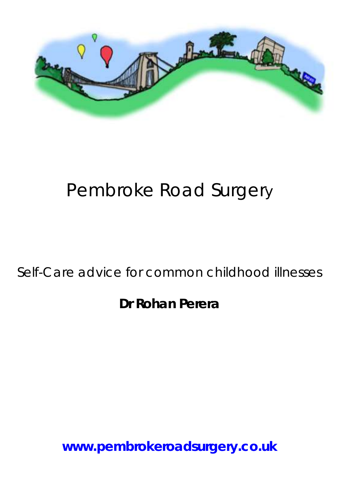

# Pembroke Road Surgery

# Self-Care advice for common childhood illnesses

**Dr Rohan Perera**

**www.pembrokeroadsurgery.co.uk**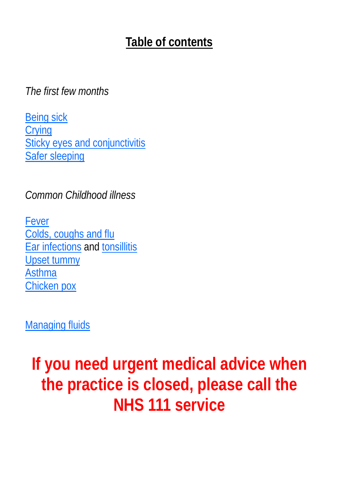# **Table of contents**

*The first few months*

[Being sick](#page-2-0) [Crying](#page-3-0) [Sticky eyes and conjunctivitis](#page-4-0) [Safer sleeping](#page-5-0)

*Common Childhood illness*

[Fever](#page-7-0) [Colds, coughs and flu](#page-9-0) [Ear infections](#page-9-0) and [tonsillitis](#page-10-0) [Upset tummy](#page-10-0) [Asthma](#page-13-0) [Chicken pox](#page-15-0)

[Managing fluids](#page-11-0)

**If you need urgent medical advice when the practice is closed, please call the NHS 111 service**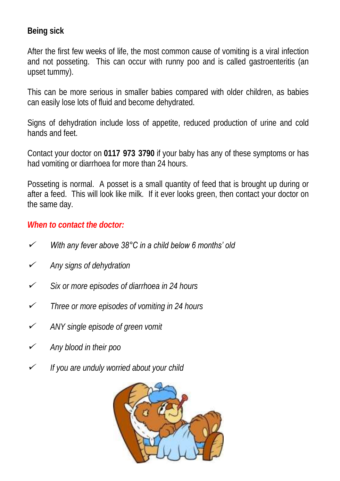<span id="page-2-0"></span>**Being sick**

After the first few weeks of life, the most common cause of vomiting is a viral infection and not posseting. This can occur with runny poo and is called gastroenteritis (an upset tummy).

This can be more serious in smaller babies compared with older children, as babies can easily lose lots of fluid and become dehydrated.

Signs of dehydration include loss of appetite, reduced production of urine and cold hands and feet.

Contact your doctor on **0117 973 3790** if your baby has any of these symptoms or has had vomiting or diarrhoea for more than 24 hours.

Posseting is normal. A posset is a small quantity of feed that is brought up during or after a feed. This will look like milk. If it ever looks green, then contact your doctor on the same day.

#### *When to contact the doctor:*

- $\checkmark$ *With any fever above 38°C in a child below 6 months' old*
- $\checkmark$ *Any signs of dehydration*
- $\checkmark$ *Six or more episodes of diarrhoea in 24 hours*
- $\checkmark$ *Three or more episodes of vomiting in 24 hours*
- $\checkmark$ *ANY single episode of green vomit*
- $\checkmark$ *Any blood in their poo*
- $\checkmark$ *If you are unduly worried about your child*

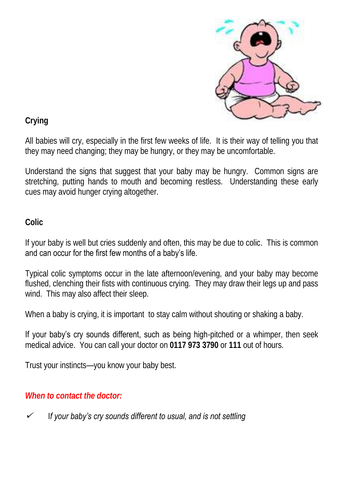

<span id="page-3-0"></span>**Crying**

All babies will cry, especially in the first few weeks of life. It is their way of telling you that they may need changing; they may be hungry, or they may be uncomfortable.

Understand the signs that suggest that your baby may be hungry. Common signs are stretching, putting hands to mouth and becoming restless. Understanding these early cues may avoid hunger crying altogether.

## **Colic**

If your baby is well but cries suddenly and often, this may be due to colic. This is common and can occur for the first few months of a baby's life.

Typical colic symptoms occur in the late afternoon/evening, and your baby may become flushed, clenching their fists with continuous crying. They may draw their legs up and pass wind. This may also affect their sleep.

When a baby is crying, it is important to stay calm without shouting or shaking a baby.

If your baby's cry sounds different, such as being high-pitched or a whimper, then seek medical advice. You can call your doctor on **0117 973 3790** or **111** out of hours.

Trust your instincts—you know your baby best.

## *When to contact the doctor:*

✓ I*f your baby's cry sounds different to usual, and is not settling*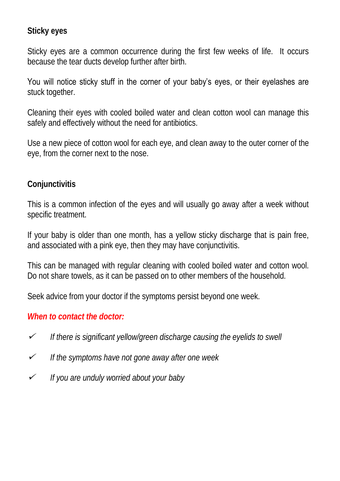#### <span id="page-4-0"></span>**Sticky eyes**

Sticky eyes are a common occurrence during the first few weeks of life. It occurs because the tear ducts develop further after birth.

You will notice sticky stuff in the corner of your baby's eyes, or their eyelashes are stuck together.

Cleaning their eyes with cooled boiled water and clean cotton wool can manage this safely and effectively without the need for antibiotics.

Use a new piece of cotton wool for each eye, and clean away to the outer corner of the eye, from the corner next to the nose.

#### **Conjunctivitis**

This is a common infection of the eyes and will usually go away after a week without specific treatment.

If your baby is older than one month, has a yellow sticky discharge that is pain free, and associated with a pink eye, then they may have conjunctivitis.

This can be managed with regular cleaning with cooled boiled water and cotton wool. Do not share towels, as it can be passed on to other members of the household.

Seek advice from your doctor if the symptoms persist beyond one week.

#### *When to contact the doctor:*

- $\checkmark$ *If there is significant yellow/green discharge causing the eyelids to swell*
- $\checkmark$ *If the symptoms have not gone away after one week*
- $\checkmark$ *If you are unduly worried about your baby*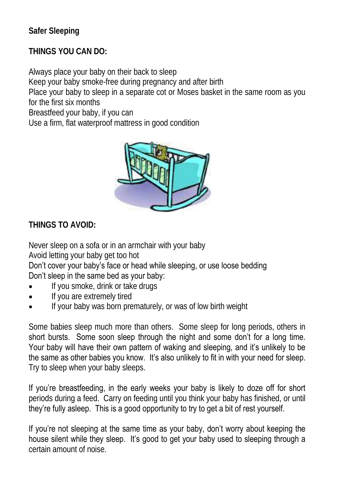<span id="page-5-0"></span>**Safer Sleeping**

**THINGS YOU CAN DO:**

Always place your baby on their back to sleep Keep your baby smoke-free during pregnancy and after birth Place your baby to sleep in a separate cot or Moses basket in the same room as you for the first six months Breastfeed your baby, if you can Use a firm, flat waterproof mattress in good condition



**THINGS TO AVOID:**

Never sleep on a sofa or in an armchair with your baby

Avoid letting your baby get too hot

Don't cover your baby's face or head while sleeping, or use loose bedding Don't sleep in the same bed as your baby:

- If you smoke, drink or take drugs
- If you are extremely tired
- If your baby was born prematurely, or was of low birth weight

Some babies sleep much more than others. Some sleep for long periods, others in short bursts. Some soon sleep through the night and some don't for a long time. Your baby will have their own pattern of waking and sleeping, and it's unlikely to be the same as other babies you know. It's also unlikely to fit in with your need for sleep. Try to sleep when your baby sleeps.

If you're breastfeeding, in the early weeks your baby is likely to doze off for short periods during a feed. Carry on feeding until you think your baby has finished, or until they're fully asleep. This is a good opportunity to try to get a bit of rest yourself.

If you're not sleeping at the same time as your baby, don't worry about keeping the house silent while they sleep. It's good to get your baby used to sleeping through a certain amount of noise.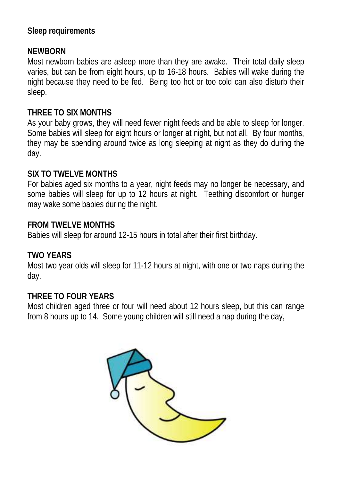### **Sleep requirements**

#### **NEWBORN**

Most newborn babies are asleep more than they are awake. Their total daily sleep varies, but can be from eight hours, up to 16-18 hours. Babies will wake during the night because they need to be fed. Being too hot or too cold can also disturb their sleep.

#### **THREE TO SIX MONTHS**

As your baby grows, they will need fewer night feeds and be able to sleep for longer. Some babies will sleep for eight hours or longer at night, but not all. By four months, they may be spending around twice as long sleeping at night as they do during the day.

#### **SIX TO TWELVE MONTHS**

For babies aged six months to a year, night feeds may no longer be necessary, and some babies will sleep for up to 12 hours at night. Teething discomfort or hunger may wake some babies during the night.

#### **FROM TWELVE MONTHS**

Babies will sleep for around 12-15 hours in total after their first birthday.

#### **TWO YEARS**

Most two year olds will sleep for 11-12 hours at night, with one or two naps during the day.

#### **THREE TO FOUR YEARS**

Most children aged three or four will need about 12 hours sleep, but this can range from 8 hours up to 14. Some young children will still need a nap during the day,

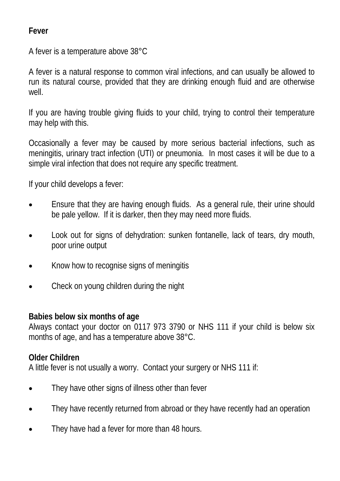<span id="page-7-0"></span>**Fever**

A fever is a temperature above 38°C

A fever is a natural response to common viral infections, and can usually be allowed to run its natural course, provided that they are drinking enough fluid and are otherwise well.

If you are having trouble giving fluids to your child, trying to control their temperature may help with this.

Occasionally a fever may be caused by more serious bacterial infections, such as meningitis, urinary tract infection (UTI) or pneumonia. In most cases it will be due to a simple viral infection that does not require any specific treatment.

If your child develops a fever:

- Ensure that they are having enough fluids. As a general rule, their urine should be pale yellow. If it is darker, then they may need more fluids.
- Look out for signs of dehydration: sunken fontanelle, lack of tears, dry mouth, poor urine output
- Know how to recognise signs of meningitis
- Check on young children during the night

**Babies below six months of age**

Always contact your doctor on 0117 973 3790 or NHS 111 if your child is below six months of age, and has a temperature above 38°C.

#### **Older Children**

A little fever is not usually a worry. Contact your surgery or NHS 111 if:

- They have other signs of illness other than fever
- They have recently returned from abroad or they have recently had an operation
- They have had a fever for more than 48 hours.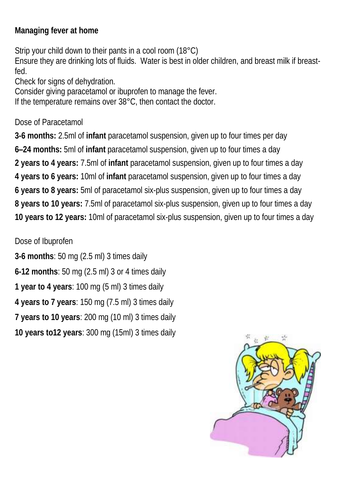**Managing fever at home**

Strip your child down to their pants in a cool room (18°C) Ensure they are drinking lots of fluids. Water is best in older children, and breast milk if breastfed.

Check for signs of dehydration.

Consider giving paracetamol or ibuprofen to manage the fever.

If the temperature remains over 38°C, then contact the doctor.

Dose of Paracetamol

**3-6 months:** 2.5ml of **infant** paracetamol suspension, given up to four times per day **6–24 months:** 5ml of **infant** paracetamol suspension, given up to four times a day **2 years to 4 years:** 7.5ml of **infant** paracetamol suspension, given up to four times a day **4 years to 6 years:** 10ml of **infant** paracetamol suspension, given up to four times a day **6 years to 8 years:** 5ml of paracetamol six-plus suspension, given up to four times a day **8 years to 10 years:** 7.5ml of paracetamol six-plus suspension, given up to four times a day **10 years to 12 years:** 10ml of paracetamol six-plus suspension, given up to four times a day

Dose of Ibuprofen

**3-6 months**: 50 mg (2.5 ml) 3 times daily **6-12 months**: 50 mg (2.5 ml) 3 or 4 times daily **1 year to 4 years**: 100 mg (5 ml) 3 times daily **4 years to 7 years**: 150 mg (7.5 ml) 3 times daily **7 years to 10 years**: 200 mg (10 ml) 3 times daily **10 years to12 years**: 300 mg (15ml) 3 times daily

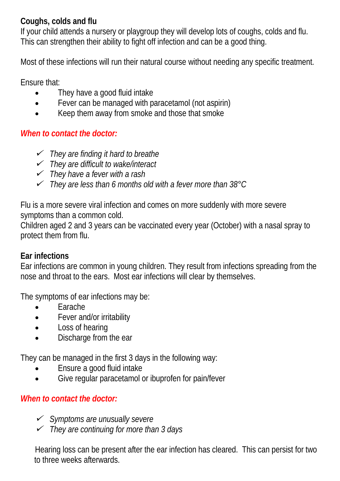## <span id="page-9-0"></span>**Coughs, colds and flu**

If your child attends a nursery or playgroup they will develop lots of coughs, colds and flu. This can strengthen their ability to fight off infection and can be a good thing.

Most of these infections will run their natural course without needing any specific treatment.

Ensure that:

- They have a good fluid intake
- Fever can be managed with paracetamol (not aspirin)
- Keep them away from smoke and those that smoke

## *When to contact the doctor:*

- *They are finding it hard to breathe*
- *They are difficult to wake/interact*
- *They have a fever with a rash*
- *They are less than 6 months old with a fever more than 38°C*

Flu is a more severe viral infection and comes on more suddenly with more severe symptoms than a common cold.

Children aged 2 and 3 years can be vaccinated every year (October) with a nasal spray to protect them from flu.

## **Ear infections**

Ear infections are common in young children. They result from infections spreading from the nose and throat to the ears. Most ear infections will clear by themselves.

The symptoms of ear infections may be:

- **Earache**
- Fever and/or irritability
- Loss of hearing
- Discharge from the ear

They can be managed in the first 3 days in the following way:

- Ensure a good fluid intake
- Give regular paracetamol or ibuprofen for pain/fever

## *When to contact the doctor:*

- *Symptoms are unusually severe*
- *They are continuing for more than 3 days*

Hearing loss can be present after the ear infection has cleared. This can persist for two to three weeks afterwards.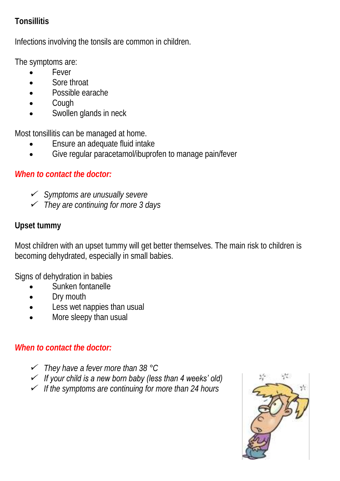## <span id="page-10-0"></span>**Tonsillitis**

Infections involving the tonsils are common in children.

The symptoms are:

- Fever
- Sore throat
- Possible earache
- Cough
- Swollen glands in neck

Most tonsillitis can be managed at home.

- Ensure an adequate fluid intake
- Give regular paracetamol/ibuprofen to manage pain/fever

## *When to contact the doctor:*

- *Symptoms are unusually severe*
- *They are continuing for more 3 days*

## **Upset tummy**

Most children with an upset tummy will get better themselves. The main risk to children is becoming dehydrated, especially in small babies.

Signs of dehydration in babies

- Sunken fontanelle
- Dry mouth
- Less wet nappies than usual
- More sleepy than usual

## *When to contact the doctor:*

- *They have a fever more than 38 °C*
- *If your child is a new born baby (less than 4 weeks' old)*
- *If the symptoms are continuing for more than 24 hours*

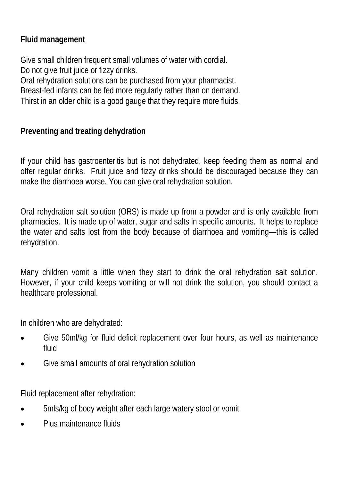<span id="page-11-0"></span>**Fluid management**

Give small children frequent small volumes of water with cordial. Do not give fruit juice or fizzy drinks.

Oral rehydration solutions can be purchased from your pharmacist. Breast-fed infants can be fed more regularly rather than on demand. Thirst in an older child is a good gauge that they require more fluids.

**Preventing and treating dehydration**

If your child has gastroenteritis but is not dehydrated, keep feeding them as normal and offer regular drinks. Fruit juice and fizzy drinks should be discouraged because they can make the diarrhoea worse. You can give oral rehydration solution.

Oral rehydration salt solution (ORS) is made up from a powder and is only available from pharmacies. It is made up of water, sugar and salts in specific amounts. It helps to replace the water and salts lost from the body because of diarrhoea and vomiting—this is called rehydration.

Many children vomit a little when they start to drink the oral rehydration salt solution. However, if your child keeps vomiting or will not drink the solution, you should contact a healthcare professional.

In children who are dehydrated:

- Give 50ml/kg for fluid deficit replacement over four hours, as well as maintenance fluid
- Give small amounts of oral rehydration solution

Fluid replacement after rehydration:

- 5mls/kg of body weight after each large watery stool or vomit
- Plus maintenance fluids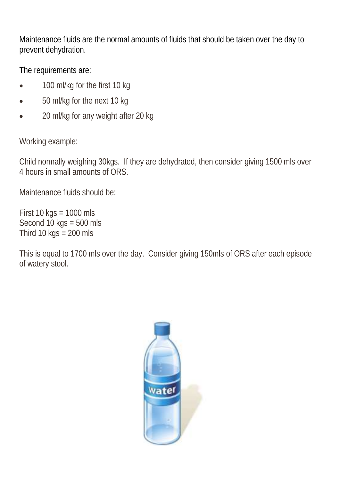Maintenance fluids are the normal amounts of fluids that should be taken over the day to prevent dehydration.

The requirements are:

- 100 ml/kg for the first 10 kg
- 50 ml/kg for the next 10 kg
- 20 ml/kg for any weight after 20 kg

Working example:

Child normally weighing 30kgs. If they are dehydrated, then consider giving 1500 mls over 4 hours in small amounts of ORS.

Maintenance fluids should be:

First 10 kgs = 1000 mls Second  $10 \text{ kgs} = 500 \text{ mls}$ Third 10 kgs  $= 200$  mls

This is equal to 1700 mls over the day. Consider giving 150mls of ORS after each episode of watery stool.

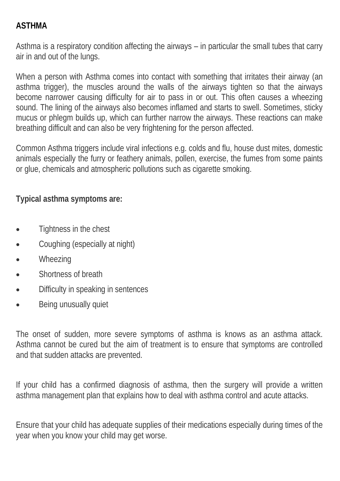## <span id="page-13-0"></span>**ASTHMA**

Asthma is a respiratory condition affecting the airways – in particular the small tubes that carry air in and out of the lungs.

When a person with Asthma comes into contact with something that irritates their airway (an asthma trigger), the muscles around the walls of the airways tighten so that the airways become narrower causing difficulty for air to pass in or out. This often causes a wheezing sound. The lining of the airways also becomes inflamed and starts to swell. Sometimes, sticky mucus or phlegm builds up, which can further narrow the airways. These reactions can make breathing difficult and can also be very frightening for the person affected.

Common Asthma triggers include viral infections e.g. colds and flu, house dust mites, domestic animals especially the furry or feathery animals, pollen, exercise, the fumes from some paints or glue, chemicals and atmospheric pollutions such as cigarette smoking.

**Typical asthma symptoms are:**

- Tightness in the chest
- Coughing (especially at night)
- Wheezing
- Shortness of breath
- Difficulty in speaking in sentences
- Being unusually quiet

The onset of sudden, more severe symptoms of asthma is knows as an asthma attack. Asthma cannot be cured but the aim of treatment is to ensure that symptoms are controlled and that sudden attacks are prevented.

If your child has a confirmed diagnosis of asthma, then the surgery will provide a written asthma management plan that explains how to deal with asthma control and acute attacks.

Ensure that your child has adequate supplies of their medications especially during times of the year when you know your child may get worse.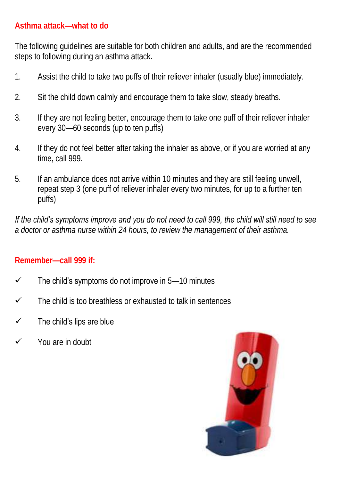### **Asthma attack—what to do**

The following guidelines are suitable for both children and adults, and are the recommended steps to following during an asthma attack.

- 1. Assist the child to take two puffs of their reliever inhaler (usually blue) immediately.
- 2. Sit the child down calmly and encourage them to take slow, steady breaths.
- 3. If they are not feeling better, encourage them to take one puff of their reliever inhaler every 30—60 seconds (up to ten puffs)
- 4. If they do not feel better after taking the inhaler as above, or if you are worried at any time, call 999.
- 5. If an ambulance does not arrive within 10 minutes and they are still feeling unwell, repeat step 3 (one puff of reliever inhaler every two minutes, for up to a further ten puffs)

*If the child's symptoms improve and you do not need to call 999, the child will still need to see a doctor or asthma nurse within 24 hours, to review the management of their asthma.*

## **Remember—call 999 if:**

- $\checkmark$  The child's symptoms do not improve in 5–10 minutes
- $\checkmark$  The child is too breathless or exhausted to talk in sentences
- $\checkmark$  The child's lips are blue
- $\checkmark$  You are in doubt

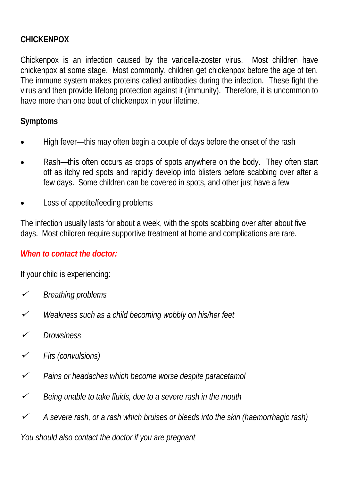### <span id="page-15-0"></span>**CHICKENPOX**

Chickenpox is an infection caused by the varicella-zoster virus. Most children have chickenpox at some stage. Most commonly, children get chickenpox before the age of ten. The immune system makes proteins called antibodies during the infection. These fight the virus and then provide lifelong protection against it (immunity). Therefore, it is uncommon to have more than one bout of chickenpox in your lifetime.

#### **Symptoms**

- High fever—this may often begin a couple of days before the onset of the rash
- Rash—this often occurs as crops of spots anywhere on the body. They often start off as itchy red spots and rapidly develop into blisters before scabbing over after a few days. Some children can be covered in spots, and other just have a few
- Loss of appetite/feeding problems

The infection usually lasts for about a week, with the spots scabbing over after about five days. Most children require supportive treatment at home and complications are rare.

#### *When to contact the doctor:*

If your child is experiencing:

- $\checkmark$ *Breathing problems*
- $\checkmark$ *Weakness such as a child becoming wobbly on his/her feet*
- ✓ *Drowsiness*
- $\checkmark$ *Fits (convulsions)*
- $\checkmark$ *Pains or headaches which become worse despite paracetamol*
- $\checkmark$ *Being unable to take fluids, due to a severe rash in the mouth*
- $\checkmark$ *A severe rash, or a rash which bruises or bleeds into the skin (haemorrhagic rash)*

*You should also contact the doctor if you are pregnant*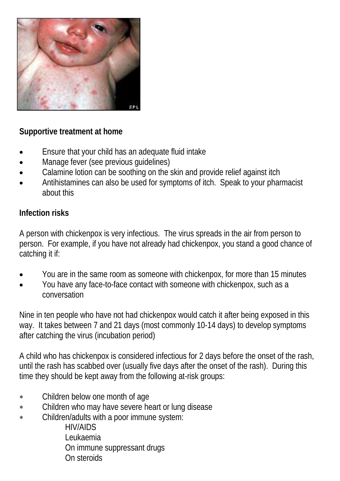

**Supportive treatment at home**

- Ensure that your child has an adequate fluid intake
- Manage fever (see previous guidelines)
- Calamine lotion can be soothing on the skin and provide relief against itch
- Antihistamines can also be used for symptoms of itch. Speak to your pharmacist about this

## **Infection risks**

A person with chickenpox is very infectious. The virus spreads in the air from person to person. For example, if you have not already had chickenpox, you stand a good chance of catching it if:

- You are in the same room as someone with chickenpox, for more than 15 minutes
- You have any face-to-face contact with someone with chickenpox, such as a conversation

Nine in ten people who have not had chickenpox would catch it after being exposed in this way. It takes between 7 and 21 days (most commonly 10-14 days) to develop symptoms after catching the virus (incubation period)

A child who has chickenpox is considered infectious for 2 days before the onset of the rash, until the rash has scabbed over (usually five days after the onset of the rash). During this time they should be kept away from the following at-risk groups:

- Children below one month of age
- Children who may have severe heart or lung disease
- \* Children/adults with a poor immune system:

HIV/AIDS Leukaemia On immune suppressant drugs On steroids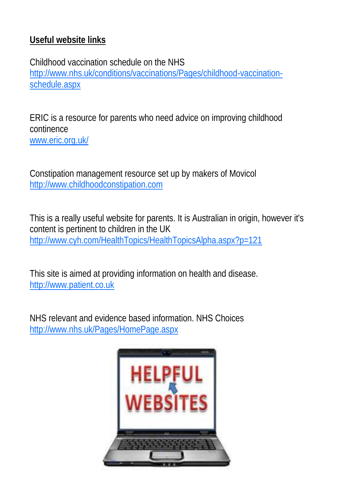## **Useful website links**

Childhood vaccination schedule on the NHS [http://www.nhs.uk/conditions/vaccinations/Pages/childhood-vaccination](http://www.nhs.uk/conditions/vaccinations/Pages/childhood-vaccination-schedule.aspx)[schedule.aspx](http://www.nhs.uk/conditions/vaccinations/Pages/childhood-vaccination-schedule.aspx)

ERIC is a resource for parents who need advice on improving childhood continence [www.eric.org.uk/](http://www.eric.org.uk/)

Constipation management resource set up by makers of Movicol [http://www.childhoodconstipation.com](http://www.childhoodconstipation.com/)

This is a really useful website for parents. It is Australian in origin, however it's content is pertinent to children in the UK <http://www.cyh.com/HealthTopics/HealthTopicsAlpha.aspx?p=121>

This site is aimed at providing information on health and disease. [http://www.patient.co.uk](http://www.patient.co.uk/)

NHS relevant and evidence based information. NHS Choices <http://www.nhs.uk/Pages/HomePage.aspx>